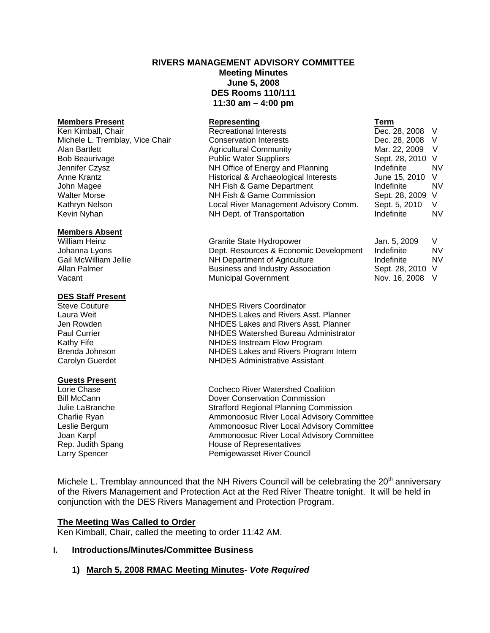# **RIVERS MANAGEMENT ADVISORY COMMITTEE Meeting Minutes June 5, 2008 DES Rooms 110/111 11:30 am – 4:00 pm**

#### **Members Present Representing**

#### **Members Absent**

#### **DES Staff Present**

# **Guests Present**<br>Lorie Chase

Ken Kimball, Chair **Recreational Interests** C Michele L. Tremblay, Vice Chair Conservation Interests Conservation Interests Alan Bartlett **Martias Agricultural Community** Martias Agricultural Community Martias Agricultural Community Bob Beaurivage **Reserves Sept. 28, 2010 Video Public Water Suppliers** Sept. 28, 2010 Video Sept. 28, 2010 Video S Jennifer Czysz **NH Office of Energy and Planning** Indefinite Indefinite Indefinite Indefinite Indefinite Indefinite In Anne Krantz **Historical & Archaeological Interests** June 15, 2010 View Historical & Archaeological Interests John Magee **NH Fish & Game Department** Indefinition Indefinite Indefinite Indefinite Indefinite Indefinite Indefinite Indefinite Indefinite Indefinite Indefinite Indefinite Indefinite Indefinite Indefinite Indefinite Indef Walter Morse **NH Fish & Game Commission** Sept. 28, 2009 S Kathryn Nelson **Local River Management Advisory Comm.** Sept. 5, 2010 V. Kevin Nyhan Newsletter NH Dept. of Transportation

William Heinz **Granite State Hydropower** Johanna Lyons **Dept. Resources & Economic Development** Gail McWilliam Jellie Number 2011 NH Department of Agriculture Gail McWilliam Jellie **NH Department of Agriculture**<br>Allan Palmer<br>**Allan Palmer** Nusiness and Industry Associa Business and Industry Association Vacant Vacant Municipal Government

Steve Couture **NHDES** Rivers Coordinator Laura Weit NHDES Lakes and Rivers Asst. Planner Jen Rowden NHDES Lakes and Rivers Asst. Planner Paul Currier **NHDES** Watershed Bureau Administrator Kathy Fife **NHDES** Instream Flow Program Brenda Johnson NHDES Lakes and Rivers Program Intern Carolyn Guerdet NHDES Administrative Assistant

Cocheco River Watershed Coalition Bill McCann Dover Conservation Commission Julie LaBranche Strafford Regional Planning Commission Charlie Ryan **Ammonoosuc River Local Advisory Committee** Leslie Bergum **Ammonoosuc River Local Advisory Committee** Joan Karpf **Ammonoosuc River Local Advisory Committee**<br>
Rep. Judith Spang **Ammonoosuc Representatives** House of Representatives Larry Spencer **Pemigewasset River Council** 

Michele L. Tremblay announced that the NH Rivers Council will be celebrating the  $20<sup>th</sup>$  anniversary of the Rivers Management and Protection Act at the Red River Theatre tonight. It will be held in conjunction with the DES Rivers Management and Protection Program.

# **The Meeting Was Called to Order**

Ken Kimball, Chair, called the meeting to order 11:42 AM.

# **I. Introductions/Minutes/Committee Business**

# **1) March 5, 2008 RMAC Meeting Minutes-** *Vote Required*

| ı erm          |    |
|----------------|----|
| Dec. 28, 2008  | V  |
| Dec. 28, 2008  | V  |
| Mar. 22, 2009  | V  |
| Sept. 28, 2010 | V  |
| ndefinite      | NV |
| June 15, 2010  | V  |
| ndefinite      | NV |
| Sept. 28, 2009 | V  |
| Sept. 5, 2010  | v  |
| ndefinite      | NV |

| Jan. 5, 2009   | V  |
|----------------|----|
| Indefinite     | NV |
| Indefinite     | NV |
| Sept. 28, 2010 | V  |
| Nov. 16, 2008  | V  |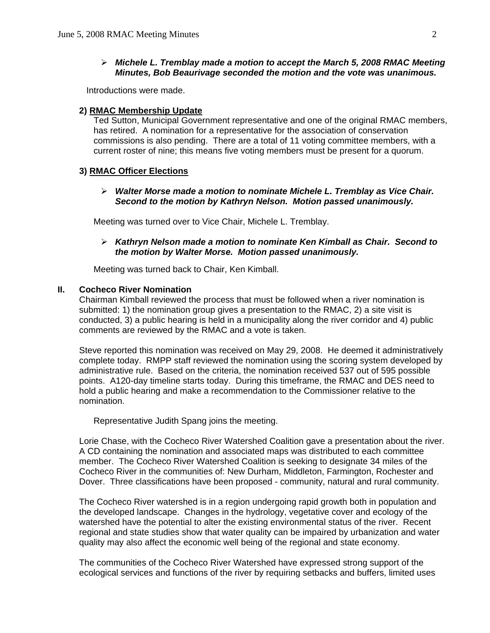#### ¾ *Michele L. Tremblay made a motion to accept the March 5, 2008 RMAC Meeting Minutes, Bob Beaurivage seconded the motion and the vote was unanimous.*

Introductions were made.

#### **2) RMAC Membership Update**

 Ted Sutton, Municipal Government representative and one of the original RMAC members, has retired. A nomination for a representative for the association of conservation commissions is also pending. There are a total of 11 voting committee members, with a current roster of nine; this means five voting members must be present for a quorum.

#### **3) RMAC Officer Elections**

#### ¾ *Walter Morse made a motion to nominate Michele L. Tremblay as Vice Chair. Second to the motion by Kathryn Nelson. Motion passed unanimously.*

Meeting was turned over to Vice Chair, Michele L. Tremblay.

### ¾ *Kathryn Nelson made a motion to nominate Ken Kimball as Chair. Second to the motion by Walter Morse. Motion passed unanimously.*

Meeting was turned back to Chair, Ken Kimball.

#### **II. Cocheco River Nomination**

Chairman Kimball reviewed the process that must be followed when a river nomination is submitted: 1) the nomination group gives a presentation to the RMAC, 2) a site visit is conducted, 3) a public hearing is held in a municipality along the river corridor and 4) public comments are reviewed by the RMAC and a vote is taken.

 Steve reported this nomination was received on May 29, 2008. He deemed it administratively complete today. RMPP staff reviewed the nomination using the scoring system developed by administrative rule. Based on the criteria, the nomination received 537 out of 595 possible points. A120-day timeline starts today. During this timeframe, the RMAC and DES need to hold a public hearing and make a recommendation to the Commissioner relative to the nomination.

Representative Judith Spang joins the meeting.

Lorie Chase, with the Cocheco River Watershed Coalition gave a presentation about the river. A CD containing the nomination and associated maps was distributed to each committee member. The Cocheco River Watershed Coalition is seeking to designate 34 miles of the Cocheco River in the communities of: New Durham, Middleton, Farmington, Rochester and Dover. Three classifications have been proposed - community, natural and rural community.

 The Cocheco River watershed is in a region undergoing rapid growth both in population and the developed landscape. Changes in the hydrology, vegetative cover and ecology of the watershed have the potential to alter the existing environmental status of the river. Recent regional and state studies show that water quality can be impaired by urbanization and water quality may also affect the economic well being of the regional and state economy.

 The communities of the Cocheco River Watershed have expressed strong support of the ecological services and functions of the river by requiring setbacks and buffers, limited uses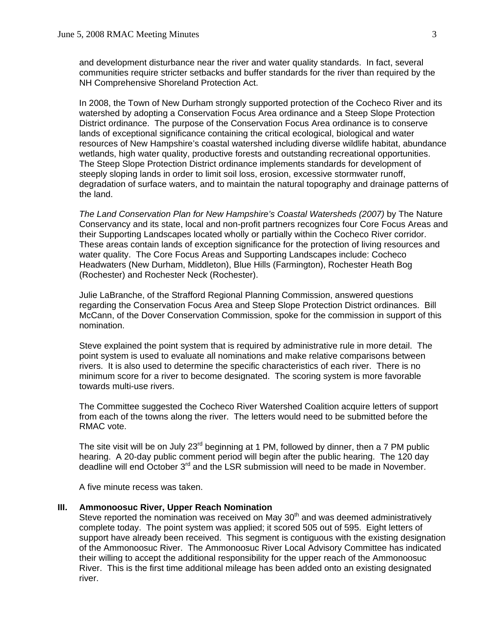and development disturbance near the river and water quality standards. In fact, several communities require stricter setbacks and buffer standards for the river than required by the NH Comprehensive Shoreland Protection Act.

 In 2008, the Town of New Durham strongly supported protection of the Cocheco River and its watershed by adopting a Conservation Focus Area ordinance and a Steep Slope Protection District ordinance. The purpose of the Conservation Focus Area ordinance is to conserve lands of exceptional significance containing the critical ecological, biological and water resources of New Hampshire's coastal watershed including diverse wildlife habitat, abundance wetlands, high water quality, productive forests and outstanding recreational opportunities. The Steep Slope Protection District ordinance implements standards for development of steeply sloping lands in order to limit soil loss, erosion, excessive stormwater runoff, degradation of surface waters, and to maintain the natural topography and drainage patterns of the land.

*The Land Conservation Plan for New Hampshire's Coastal Watersheds (2007)* by The Nature Conservancy and its state, local and non-profit partners recognizes four Core Focus Areas and their Supporting Landscapes located wholly or partially within the Cocheco River corridor. These areas contain lands of exception significance for the protection of living resources and water quality. The Core Focus Areas and Supporting Landscapes include: Cocheco Headwaters (New Durham, Middleton), Blue Hills (Farmington), Rochester Heath Bog (Rochester) and Rochester Neck (Rochester).

 Julie LaBranche, of the Strafford Regional Planning Commission, answered questions regarding the Conservation Focus Area and Steep Slope Protection District ordinances. Bill McCann, of the Dover Conservation Commission, spoke for the commission in support of this nomination.

Steve explained the point system that is required by administrative rule in more detail. The point system is used to evaluate all nominations and make relative comparisons between rivers. It is also used to determine the specific characteristics of each river. There is no minimum score for a river to become designated. The scoring system is more favorable towards multi-use rivers.

 The Committee suggested the Cocheco River Watershed Coalition acquire letters of support from each of the towns along the river. The letters would need to be submitted before the RMAC vote.

The site visit will be on July 23<sup>rd</sup> beginning at 1 PM, followed by dinner, then a 7 PM public hearing. A 20-day public comment period will begin after the public hearing. The 120 day deadline will end October 3<sup>rd</sup> and the LSR submission will need to be made in November.

A five minute recess was taken.

#### **III. Ammonoosuc River, Upper Reach Nomination**

Steve reported the nomination was received on May  $30<sup>th</sup>$  and was deemed administratively complete today. The point system was applied; it scored 505 out of 595. Eight letters of support have already been received. This segment is contiguous with the existing designation of the Ammonoosuc River. The Ammonoosuc River Local Advisory Committee has indicated their willing to accept the additional responsibility for the upper reach of the Ammonoosuc River. This is the first time additional mileage has been added onto an existing designated river.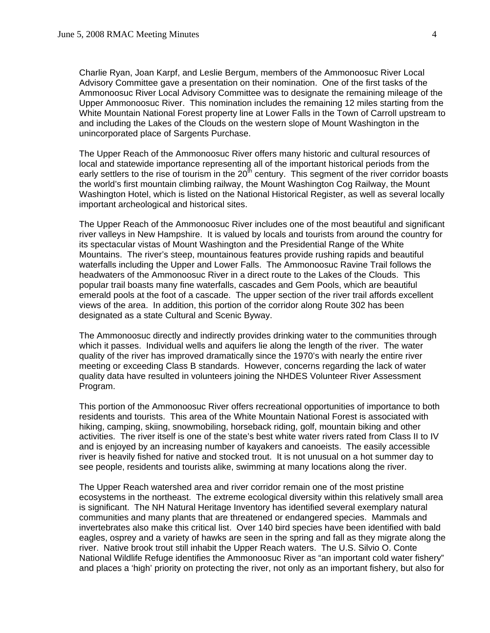Charlie Ryan, Joan Karpf, and Leslie Bergum, members of the Ammonoosuc River Local Advisory Committee gave a presentation on their nomination. One of the first tasks of the Ammonoosuc River Local Advisory Committee was to designate the remaining mileage of the Upper Ammonoosuc River. This nomination includes the remaining 12 miles starting from the White Mountain National Forest property line at Lower Falls in the Town of Carroll upstream to and including the Lakes of the Clouds on the western slope of Mount Washington in the unincorporated place of Sargents Purchase.

 The Upper Reach of the Ammonoosuc River offers many historic and cultural resources of local and statewide importance representing all of the important historical periods from the early settlers to the rise of tourism in the  $20<sup>th</sup>$  century. This segment of the river corridor boasts the world's first mountain climbing railway, the Mount Washington Cog Railway, the Mount Washington Hotel, which is listed on the National Historical Register, as well as several locally important archeological and historical sites.

 The Upper Reach of the Ammonoosuc River includes one of the most beautiful and significant river valleys in New Hampshire. It is valued by locals and tourists from around the country for its spectacular vistas of Mount Washington and the Presidential Range of the White Mountains. The river's steep, mountainous features provide rushing rapids and beautiful waterfalls including the Upper and Lower Falls. The Ammonoosuc Ravine Trail follows the headwaters of the Ammonoosuc River in a direct route to the Lakes of the Clouds. This popular trail boasts many fine waterfalls, cascades and Gem Pools, which are beautiful emerald pools at the foot of a cascade. The upper section of the river trail affords excellent views of the area. In addition, this portion of the corridor along Route 302 has been designated as a state Cultural and Scenic Byway.

 The Ammonoosuc directly and indirectly provides drinking water to the communities through which it passes. Individual wells and aquifers lie along the length of the river. The water quality of the river has improved dramatically since the 1970's with nearly the entire river meeting or exceeding Class B standards. However, concerns regarding the lack of water quality data have resulted in volunteers joining the NHDES Volunteer River Assessment Program.

 This portion of the Ammonoosuc River offers recreational opportunities of importance to both residents and tourists. This area of the White Mountain National Forest is associated with hiking, camping, skiing, snowmobiling, horseback riding, golf, mountain biking and other activities. The river itself is one of the state's best white water rivers rated from Class II to IV and is enjoyed by an increasing number of kayakers and canoeists. The easily accessible river is heavily fished for native and stocked trout. It is not unusual on a hot summer day to see people, residents and tourists alike, swimming at many locations along the river.

 The Upper Reach watershed area and river corridor remain one of the most pristine ecosystems in the northeast. The extreme ecological diversity within this relatively small area is significant. The NH Natural Heritage Inventory has identified several exemplary natural communities and many plants that are threatened or endangered species. Mammals and invertebrates also make this critical list. Over 140 bird species have been identified with bald eagles, osprey and a variety of hawks are seen in the spring and fall as they migrate along the river. Native brook trout still inhabit the Upper Reach waters. The U.S. Silvio O. Conte National Wildlife Refuge identifies the Ammonoosuc River as "an important cold water fishery" and places a 'high' priority on protecting the river, not only as an important fishery, but also for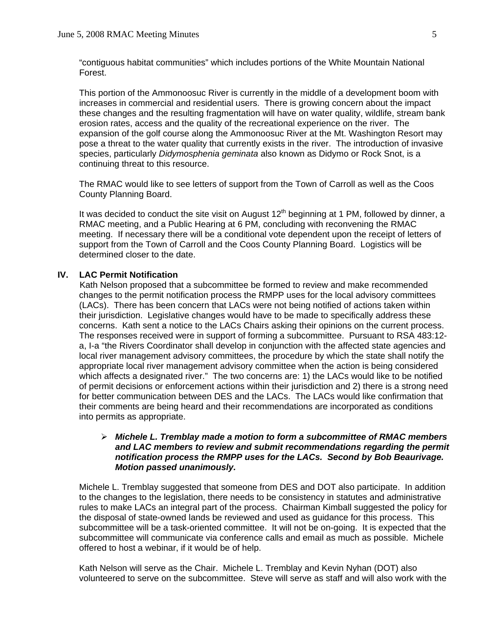"contiguous habitat communities" which includes portions of the White Mountain National Forest.

 This portion of the Ammonoosuc River is currently in the middle of a development boom with increases in commercial and residential users. There is growing concern about the impact these changes and the resulting fragmentation will have on water quality, wildlife, stream bank erosion rates, access and the quality of the recreational experience on the river. The expansion of the golf course along the Ammonoosuc River at the Mt. Washington Resort may pose a threat to the water quality that currently exists in the river. The introduction of invasive species, particularly *Didymosphenia geminata* also known as Didymo or Rock Snot, is a continuing threat to this resource.

The RMAC would like to see letters of support from the Town of Carroll as well as the Coos County Planning Board.

It was decided to conduct the site visit on August  $12<sup>th</sup>$  beginning at 1 PM, followed by dinner, a RMAC meeting, and a Public Hearing at 6 PM, concluding with reconvening the RMAC meeting. If necessary there will be a conditional vote dependent upon the receipt of letters of support from the Town of Carroll and the Coos County Planning Board. Logistics will be determined closer to the date.

#### **IV. LAC Permit Notification**

Kath Nelson proposed that a subcommittee be formed to review and make recommended changes to the permit notification process the RMPP uses for the local advisory committees (LACs). There has been concern that LACs were not being notified of actions taken within their jurisdiction. Legislative changes would have to be made to specifically address these concerns. Kath sent a notice to the LACs Chairs asking their opinions on the current process. The responses received were in support of forming a subcommittee. Pursuant to RSA 483:12 a, I-a "the Rivers Coordinator shall develop in conjunction with the affected state agencies and local river management advisory committees, the procedure by which the state shall notify the appropriate local river management advisory committee when the action is being considered which affects a designated river." The two concerns are: 1) the LACs would like to be notified of permit decisions or enforcement actions within their jurisdiction and 2) there is a strong need for better communication between DES and the LACs. The LACs would like confirmation that their comments are being heard and their recommendations are incorporated as conditions into permits as appropriate.

#### ¾ *Michele L. Tremblay made a motion to form a subcommittee of RMAC members and LAC members to review and submit recommendations regarding the permit notification process the RMPP uses for the LACs. Second by Bob Beaurivage. Motion passed unanimously.*

 Michele L. Tremblay suggested that someone from DES and DOT also participate. In addition to the changes to the legislation, there needs to be consistency in statutes and administrative rules to make LACs an integral part of the process. Chairman Kimball suggested the policy for the disposal of state-owned lands be reviewed and used as guidance for this process. This subcommittee will be a task-oriented committee. It will not be on-going. It is expected that the subcommittee will communicate via conference calls and email as much as possible. Michele offered to host a webinar, if it would be of help.

 Kath Nelson will serve as the Chair. Michele L. Tremblay and Kevin Nyhan (DOT) also volunteered to serve on the subcommittee. Steve will serve as staff and will also work with the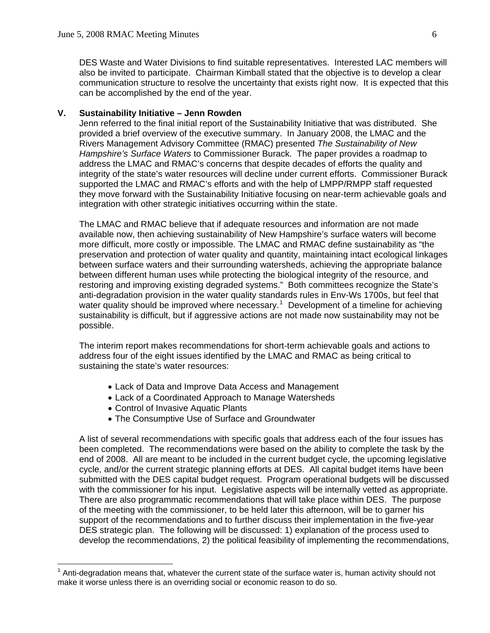DES Waste and Water Divisions to find suitable representatives. Interested LAC members will also be invited to participate. Chairman Kimball stated that the objective is to develop a clear communication structure to resolve the uncertainty that exists right now. It is expected that this can be accomplished by the end of the year.

#### **V. Sustainability Initiative – Jenn Rowden**

Jenn referred to the final initial report of the Sustainability Initiative that was distributed. She provided a brief overview of the executive summary. In January 2008, the LMAC and the Rivers Management Advisory Committee (RMAC) presented *The Sustainability of New Hampshire's Surface Waters* to Commissioner Burack. The paper provides a roadmap to address the LMAC and RMAC's concerns that despite decades of efforts the quality and integrity of the state's water resources will decline under current efforts. Commissioner Burack supported the LMAC and RMAC's efforts and with the help of LMPP/RMPP staff requested they move forward with the Sustainability Initiative focusing on near-term achievable goals and integration with other strategic initiatives occurring within the state.

The LMAC and RMAC believe that if adequate resources and information are not made available now, then achieving sustainability of New Hampshire's surface waters will become more difficult, more costly or impossible. The LMAC and RMAC define sustainability as "the preservation and protection of water quality and quantity, maintaining intact ecological linkages between surface waters and their surrounding watersheds, achieving the appropriate balance between different human uses while protecting the biological integrity of the resource, and restoring and improving existing degraded systems." Both committees recognize the State's anti-degradation provision in the water quality standards rules in Env-Ws 1700s, but feel that water quality should be improved where necessary.<sup>[1](#page-5-0)</sup> Development of a timeline for achieving sustainability is difficult, but if aggressive actions are not made now sustainability may not be possible.

The interim report makes recommendations for short-term achievable goals and actions to address four of the eight issues identified by the LMAC and RMAC as being critical to sustaining the state's water resources:

- Lack of Data and Improve Data Access and Management
- Lack of a Coordinated Approach to Manage Watersheds
- Control of Invasive Aquatic Plants

 $\overline{\phantom{a}}$ 

• The Consumptive Use of Surface and Groundwater

A list of several recommendations with specific goals that address each of the four issues has been completed. The recommendations were based on the ability to complete the task by the end of 2008. All are meant to be included in the current budget cycle, the upcoming legislative cycle, and/or the current strategic planning efforts at DES. All capital budget items have been submitted with the DES capital budget request. Program operational budgets will be discussed with the commissioner for his input. Legislative aspects will be internally vetted as appropriate. There are also programmatic recommendations that will take place within DES. The purpose of the meeting with the commissioner, to be held later this afternoon, will be to garner his support of the recommendations and to further discuss their implementation in the five-year DES strategic plan. The following will be discussed: 1) explanation of the process used to develop the recommendations, 2) the political feasibility of implementing the recommendations,

<span id="page-5-0"></span> $1$  Anti-degradation means that, whatever the current state of the surface water is, human activity should not make it worse unless there is an overriding social or economic reason to do so.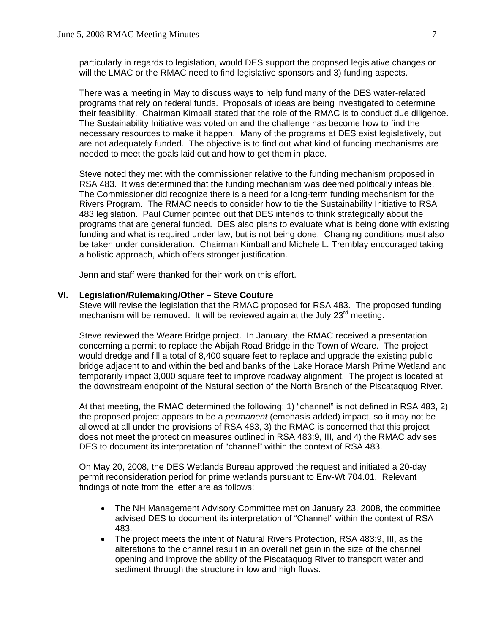particularly in regards to legislation, would DES support the proposed legislative changes or will the LMAC or the RMAC need to find legislative sponsors and 3) funding aspects.

There was a meeting in May to discuss ways to help fund many of the DES water-related programs that rely on federal funds. Proposals of ideas are being investigated to determine their feasibility. Chairman Kimball stated that the role of the RMAC is to conduct due diligence. The Sustainability Initiative was voted on and the challenge has become how to find the necessary resources to make it happen. Many of the programs at DES exist legislatively, but are not adequately funded. The objective is to find out what kind of funding mechanisms are needed to meet the goals laid out and how to get them in place.

Steve noted they met with the commissioner relative to the funding mechanism proposed in RSA 483. It was determined that the funding mechanism was deemed politically infeasible. The Commissioner did recognize there is a need for a long-term funding mechanism for the Rivers Program. The RMAC needs to consider how to tie the Sustainability Initiative to RSA 483 legislation. Paul Currier pointed out that DES intends to think strategically about the programs that are general funded. DES also plans to evaluate what is being done with existing funding and what is required under law, but is not being done. Changing conditions must also be taken under consideration. Chairman Kimball and Michele L. Tremblay encouraged taking a holistic approach, which offers stronger justification.

Jenn and staff were thanked for their work on this effort.

#### **VI. Legislation/Rulemaking/Other – Steve Couture**

Steve will revise the legislation that the RMAC proposed for RSA 483. The proposed funding mechanism will be removed. It will be reviewed again at the July  $23<sup>rd</sup>$  meeting.

 Steve reviewed the Weare Bridge project. In January, the RMAC received a presentation concerning a permit to replace the Abijah Road Bridge in the Town of Weare. The project would dredge and fill a total of 8,400 square feet to replace and upgrade the existing public bridge adjacent to and within the bed and banks of the Lake Horace Marsh Prime Wetland and temporarily impact 3,000 square feet to improve roadway alignment. The project is located at the downstream endpoint of the Natural section of the North Branch of the Piscataquog River.

 At that meeting, the RMAC determined the following: 1) "channel" is not defined in RSA 483, 2) the proposed project appears to be a *permanent* (emphasis added) impact, so it may not be allowed at all under the provisions of RSA 483, 3) the RMAC is concerned that this project does not meet the protection measures outlined in RSA 483:9, III, and 4) the RMAC advises DES to document its interpretation of "channel" within the context of RSA 483.

 On May 20, 2008, the DES Wetlands Bureau approved the request and initiated a 20-day permit reconsideration period for prime wetlands pursuant to Env-Wt 704.01. Relevant findings of note from the letter are as follows:

- The NH Management Advisory Committee met on January 23, 2008, the committee advised DES to document its interpretation of "Channel" within the context of RSA 483.
- The project meets the intent of Natural Rivers Protection, RSA 483:9, III, as the alterations to the channel result in an overall net gain in the size of the channel opening and improve the ability of the Piscataquog River to transport water and sediment through the structure in low and high flows.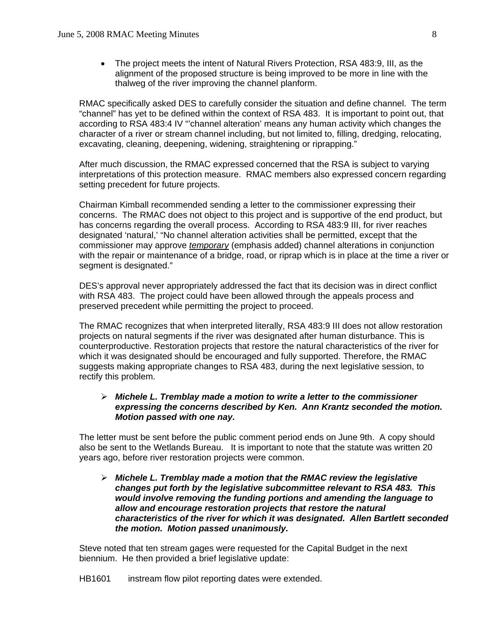• The project meets the intent of Natural Rivers Protection, RSA 483:9, III, as the alignment of the proposed structure is being improved to be more in line with the thalweg of the river improving the channel planform.

 RMAC specifically asked DES to carefully consider the situation and define channel. The term "channel" has yet to be defined within the context of RSA 483. It is important to point out, that according to RSA 483:4 IV "'channel alteration' means any human activity which changes the character of a river or stream channel including, but not limited to, filling, dredging, relocating, excavating, cleaning, deepening, widening, straightening or riprapping."

 After much discussion, the RMAC expressed concerned that the RSA is subject to varying interpretations of this protection measure. RMAC members also expressed concern regarding setting precedent for future projects.

 Chairman Kimball recommended sending a letter to the commissioner expressing their concerns. The RMAC does not object to this project and is supportive of the end product, but has concerns regarding the overall process. According to RSA 483:9 III, for river reaches designated 'natural,' "No channel alteration activities shall be permitted, except that the commissioner may approve *temporary* (emphasis added) channel alterations in conjunction with the repair or maintenance of a bridge, road, or riprap which is in place at the time a river or segment is designated."

 DES's approval never appropriately addressed the fact that its decision was in direct conflict with RSA 483. The project could have been allowed through the appeals process and preserved precedent while permitting the project to proceed.

 The RMAC recognizes that when interpreted literally, RSA 483:9 III does not allow restoration projects on natural segments if the river was designated after human disturbance. This is counterproductive. Restoration projects that restore the natural characteristics of the river for which it was designated should be encouraged and fully supported. Therefore, the RMAC suggests making appropriate changes to RSA 483, during the next legislative session, to rectify this problem.

### ¾ *Michele L. Tremblay made a motion to write a letter to the commissioner expressing the concerns described by Ken. Ann Krantz seconded the motion. Motion passed with one nay.*

 The letter must be sent before the public comment period ends on June 9th. A copy should also be sent to the Wetlands Bureau. It is important to note that the statute was written 20 years ago, before river restoration projects were common.

### ¾ *Michele L. Tremblay made a motion that the RMAC review the legislative changes put forth by the legislative subcommittee relevant to RSA 483. This would involve removing the funding portions and amending the language to allow and encourage restoration projects that restore the natural characteristics of the river for which it was designated. Allen Bartlett seconded the motion. Motion passed unanimously.*

 Steve noted that ten stream gages were requested for the Capital Budget in the next biennium. He then provided a brief legislative update:

HB1601 instream flow pilot reporting dates were extended.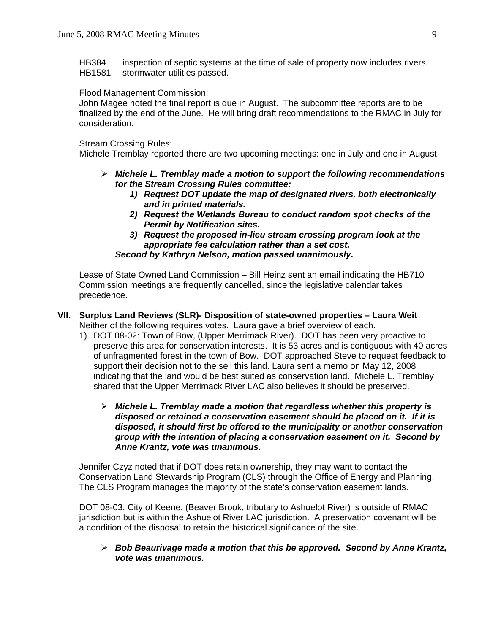HB384 inspection of septic systems at the time of sale of property now includes rivers. HB1581 stormwater utilities passed.

### Flood Management Commission:

 John Magee noted the final report is due in August. The subcommittee reports are to be finalized by the end of the June. He will bring draft recommendations to the RMAC in July for consideration.

#### Stream Crossing Rules:

Michele Tremblay reported there are two upcoming meetings: one in July and one in August.

- ¾ *Michele L. Tremblay made a motion to support the following recommendations for the Stream Crossing Rules committee:* 
	- *1) Request DOT update the map of designated rivers, both electronically and in printed materials.*
	- *2) Request the Wetlands Bureau to conduct random spot checks of the Permit by Notification sites.*
	- *3) Request the proposed in-lieu stream crossing program look at the appropriate fee calculation rather than a set cost. Second by Kathryn Nelson, motion passed unanimously.*

 Lease of State Owned Land Commission – Bill Heinz sent an email indicating the HB710 Commission meetings are frequently cancelled, since the legislative calendar takes precedence.

## **VII. Surplus Land Reviews (SLR)- Disposition of state-owned properties – Laura Weit**  Neither of the following requires votes. Laura gave a brief overview of each.

- 1) DOT 08-02: Town of Bow, (Upper Merrimack River). DOT has been very proactive to preserve this area for conservation interests. It is 53 acres and is contiguous with 40 acres of unfragmented forest in the town of Bow. DOT approached Steve to request feedback to support their decision not to the sell this land. Laura sent a memo on May 12, 2008 indicating that the land would be best suited as conservation land. Michele L. Tremblay shared that the Upper Merrimack River LAC also believes it should be preserved.
	- ¾ *Michele L. Tremblay made a motion that regardless whether this property is disposed or retained a conservation easement should be placed on it. If it is disposed, it should first be offered to the municipality or another conservation group with the intention of placing a conservation easement on it. Second by Anne Krantz, vote was unanimous.*

 Jennifer Czyz noted that if DOT does retain ownership, they may want to contact the Conservation Land Stewardship Program (CLS) through the Office of Energy and Planning. The CLS Program manages the majority of the state's conservation easement lands.

 DOT 08-03: City of Keene, (Beaver Brook, tributary to Ashuelot River) is outside of RMAC jurisdiction but is within the Ashuelot River LAC jurisdiction. A preservation covenant will be a condition of the disposal to retain the historical significance of the site.

¾ *Bob Beaurivage made a motion that this be approved. Second by Anne Krantz, vote was unanimous.*